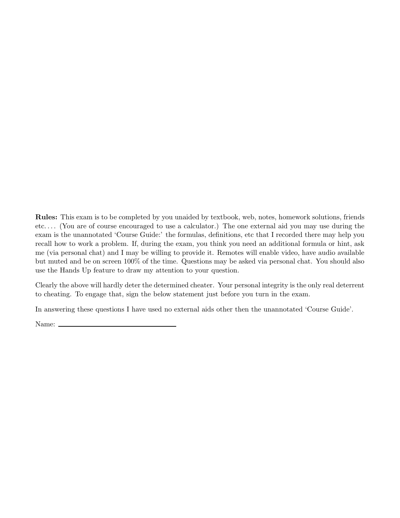Rules: This exam is to be completed by you unaided by textbook, web, notes, homework solutions, friends etc. . . . (You are of course encouraged to use a calculator.) The one external aid you may use during the exam is the unannotated 'Course Guide:' the formulas, definitions, etc that I recorded there may help you recall how to work a problem. If, during the exam, you think you need an additional formula or hint, ask me (via personal chat) and I may be willing to provide it. Remotes will enable video, have audio available but muted and be on screen 100% of the time. Questions may be asked via personal chat. You should also use the Hands Up feature to draw my attention to your question.

Clearly the above will hardly deter the determined cheater. Your personal integrity is the only real deterrent to cheating. To engage that, sign the below statement just before you turn in the exam.

In answering these questions I have used no external aids other then the unannotated 'Course Guide'.

Name: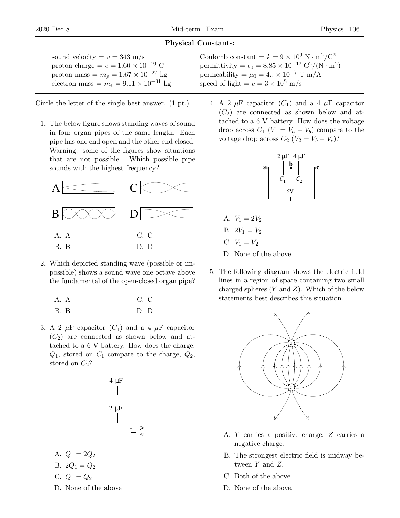## Physical Constants:

| sound velocity $= v = 343$ m/s                  |
|-------------------------------------------------|
| proton charge = $e = 1.60 \times 10^{-19}$ C    |
| proton mass = $m_p = 1.67 \times 10^{-27}$ kg   |
| electron mass = $m_e = 9.11 \times 10^{-31}$ kg |
|                                                 |

Circle the letter of the single best answer. (1 pt.)

1. The below figure shows standing waves of sound in four organ pipes of the same length. Each pipe has one end open and the other end closed. Warning: some of the figures show situations that are not possible. Which possible pipe sounds with the highest frequency?



2. Which depicted standing wave (possible or impossible) shows a sound wave one octave above the fundamental of the open-closed organ pipe?

| A. A | C. C |
|------|------|
| B. B | D.D  |

3. A 2  $\mu$ F capacitor  $(C_1)$  and a 4  $\mu$ F capacitor  $(C_2)$  are connected as shown below and attached to a 6 V battery. How does the charge,  $Q_1$ , stored on  $C_1$  compare to the charge,  $Q_2$ , stored on  $C_2$ ?



A.  $Q_1 = 2Q_2$ 

B. 
$$
2Q_1 = Q_2
$$

C. 
$$
Q_1 = Q_2
$$

D. None of the above

- Coulomb constant =  $k = 9 \times 10^9$  N · m<sup>2</sup>/C<sup>2</sup> permittivity =  $\epsilon_0 = 8.85 \times 10^{-12} \text{ C}^2/(\text{N} \cdot \text{m}^2)$ permeability =  $\mu_0 = 4\pi \times 10^{-7}$  T·m/A speed of light  $=c=3\times10^8$  m/s
	- 4. A 2  $\mu$ F capacitor  $(C_1)$  and a 4  $\mu$ F capacitor  $(C_2)$  are connected as shown below and attached to a 6 V battery. How does the voltage drop across  $C_1$  ( $V_1 = V_a - V_b$ ) compare to the voltage drop across  $C_2$   $(V_2 = V_b - V_c)$ ?



- A.  $V_1 = 2V_2$ B.  $2V_1 = V_2$ C.  $V_1 = V_2$ D. None of the above
- 5. The following diagram shows the electric field lines in a region of space containing two small charged spheres  $(Y \text{ and } Z)$ . Which of the below statements best describes this situation.



- A. Y carries a positive charge; Z carries a negative charge.
- B. The strongest electric field is midway between Y and Z.
- C. Both of the above.
- D. None of the above.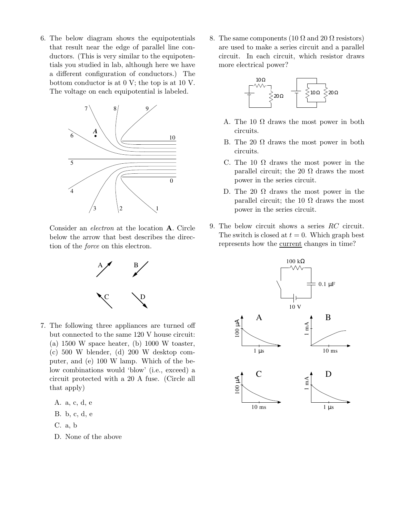6. The below diagram shows the equipotentials that result near the edge of parallel line conductors. (This is very similar to the equipotentials you studied in lab, although here we have a different configuration of conductors.) The bottom conductor is at 0 V; the top is at 10 V. The voltage on each equipotential is labeled.



Consider an electron at the location A. Circle below the arrow that best describes the direction of the force on this electron.



7. The following three appliances are turned off but connected to the same 120 V house circuit: (a)  $1500 \text{ W space heater},$  (b)  $1000 \text{ W toaster},$ (c) 500 W blender, (d) 200 W desktop computer, and (e) 100 W lamp. Which of the below combinations would 'blow' (i.e., exceed) a circuit protected with a 20 A fuse. (Circle all that apply)

A. a, c, d, e

B. b, c, d, e

- C. a, b
- D. None of the above

8. The same components (10  $\Omega$  and 20  $\Omega$  resistors) are used to make a series circuit and a parallel circuit. In each circuit, which resistor draws more electrical power?



- A. The 10  $\Omega$  draws the most power in both circuits.
- B. The 20  $\Omega$  draws the most power in both circuits.
- C. The 10  $\Omega$  draws the most power in the parallel circuit; the 20  $\Omega$  draws the most power in the series circuit.
- D. The 20  $\Omega$  draws the most power in the parallel circuit; the 10  $\Omega$  draws the most power in the series circuit.
- 9. The below circuit shows a series RC circuit. The switch is closed at  $t = 0$ . Which graph best represents how the current changes in time?

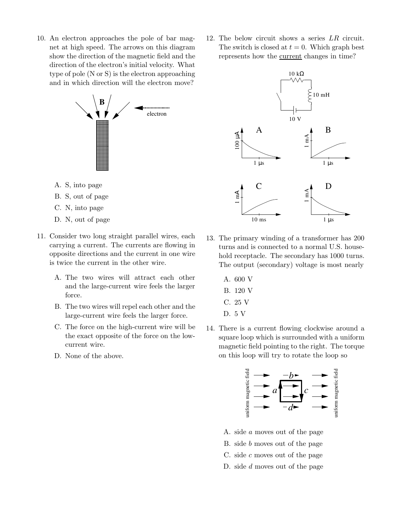10. An electron approaches the pole of bar magnet at high speed. The arrows on this diagram show the direction of the magnetic field and the direction of the electron's initial velocity. What type of pole (N or S) is the electron approaching and in which direction will the electron move?



- A. S, into page
- B. S, out of page
- C. N, into page
- D. N, out of page
- 11. Consider two long straight parallel wires, each carrying a current. The currents are flowing in opposite directions and the current in one wire is twice the current in the other wire.
	- A. The two wires will attract each other and the large-current wire feels the larger force.
	- B. The two wires will repel each other and the large-current wire feels the larger force.
	- C. The force on the high-current wire will be the exact opposite of the force on the lowcurrent wire.
	- D. None of the above.

12. The below circuit shows a series LR circuit. The switch is closed at  $t = 0$ . Which graph best represents how the current changes in time?



- 13. The primary winding of a transformer has 200 turns and is connected to a normal U.S. household receptacle. The secondary has 1000 turns. The output (secondary) voltage is most nearly
	- A. 600 V B. 120 V C. 25 V D. 5 V
- 14. There is a current flowing clockwise around a square loop which is surrounded with a uniform magnetic field pointing to the right. The torque on this loop will try to rotate the loop so



- A. side a moves out of the page
- B. side b moves out of the page
- C. side  $c$  moves out of the page
- D. side d moves out of the page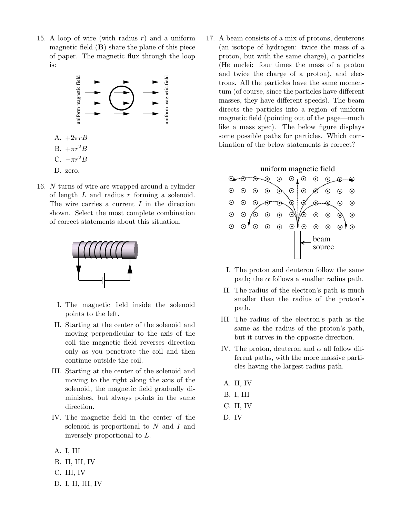15. A loop of wire (with radius  $r$ ) and a uniform magnetic field  $(B)$  share the plane of this piece of paper. The magnetic flux through the loop is:



16. N turns of wire are wrapped around a cylinder of length  $L$  and radius  $r$  forming a solenoid. The wire carries a current  $I$  in the direction shown. Select the most complete combination of correct statements about this situation.



- I. The magnetic field inside the solenoid points to the left.
- II. Starting at the center of the solenoid and moving perpendicular to the axis of the coil the magnetic field reverses direction only as you penetrate the coil and then continue outside the coil.
- III. Starting at the center of the solenoid and moving to the right along the axis of the solenoid, the magnetic field gradually diminishes, but always points in the same direction.
- IV. The magnetic field in the center of the solenoid is proportional to N and I and inversely proportional to L.
- A. I, III
- B. II, III, IV
- C. III, IV
- D. I, II, III, IV

17. A beam consists of a mix of protons, deuterons (an isotope of hydrogen: twice the mass of a proton, but with the same charge),  $\alpha$  particles (He nuclei: four times the mass of a proton and twice the charge of a proton), and electrons. All the particles have the same momentum (of course, since the particles have different masses, they have different speeds). The beam directs the particles into a region of uniform magnetic field (pointing out of the page—much like a mass spec). The below figure displays some possible paths for particles. Which combination of the below statements is correct?



- I. The proton and deuteron follow the same path; the  $\alpha$  follows a smaller radius path.
- II. The radius of the electron's path is much smaller than the radius of the proton's path.
- III. The radius of the electron's path is the same as the radius of the proton's path, but it curves in the opposite direction.
- IV. The proton, deuteron and  $\alpha$  all follow different paths, with the more massive particles having the largest radius path.
- A. II, IV
- B. I, III
- C. II, IV
- D. IV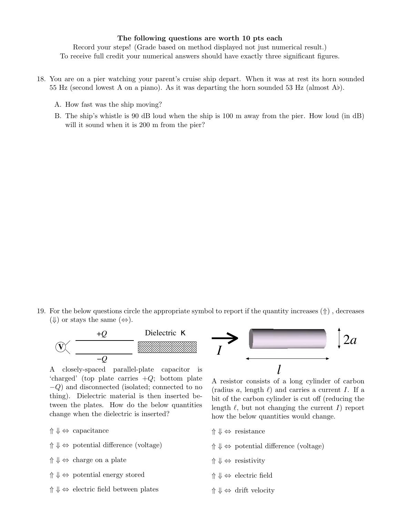## The following questions are worth 10 pts each

Record your steps! (Grade based on method displayed not just numerical result.) To receive full credit your numerical answers should have exactly three significant figures.

- 18. You are on a pier watching your parent's cruise ship depart. When it was at rest its horn sounded 55 Hz (second lowest A on a piano). As it was departing the horn sounded 53 Hz (almost A♭).
	- A. How fast was the ship moving?
	- B. The ship's whistle is 90 dB loud when the ship is 100 m away from the pier. How loud (in dB) will it sound when it is 200 m from the pier?

19. For the below questions circle the appropriate symbol to report if the quantity increases (⇑) , decreases  $(\Downarrow)$  or stays the same  $(\Leftrightarrow)$ .



A closely-spaced parallel-plate capacitor is 'charged' (top plate carries  $+Q$ ; bottom plate −Q) and disconnected (isolated; connected to no thing). Dielectric material is then inserted between the plates. How do the below quantities change when the dielectric is inserted?

- ⇑ ⇓ ⇔ capacitance
- $\uparrow \Downarrow \Leftrightarrow$  potential difference (voltage)
- $\uparrow \Downarrow \Leftrightarrow$  charge on a plate
- $\uparrow \Downarrow \Leftrightarrow$  potential energy stored
- $\uparrow \Downarrow \Leftrightarrow$  electric field between plates



A resistor consists of a long cylinder of carbon (radius a, length  $\ell$ ) and carries a current I. If a bit of the carbon cylinder is cut off (reducing the length  $\ell$ , but not changing the current I) report how the below quantities would change.

- ⇑ ⇓ ⇔ resistance
- $\uparrow \Downarrow \Leftrightarrow$  potential difference (voltage)
- $\uparrow \Downarrow \Leftrightarrow$  resistivity
- ⇑ ⇓ ⇔ electric field
- ⇑ ⇓ ⇔ drift velocity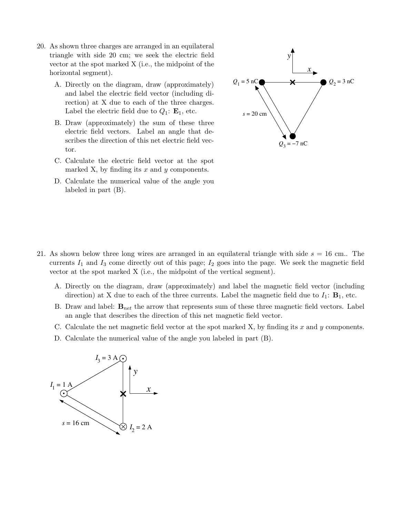- 20. As shown three charges are arranged in an equilateral triangle with side 20 cm; we seek the electric field vector at the spot marked X (i.e., the midpoint of the horizontal segment).
	- A. Directly on the diagram, draw (approximately) and label the electric field vector (including direction) at X due to each of the three charges. Label the electric field due to  $Q_1$ :  $\mathbf{E}_1$ , etc.
	- B. Draw (approximately) the sum of these three electric field vectors. Label an angle that describes the direction of this net electric field vector.
	- C. Calculate the electric field vector at the spot marked X, by finding its  $x$  and  $y$  components.
	- D. Calculate the numerical value of the angle you labeled in part (B).



- 21. As shown below three long wires are arranged in an equilateral triangle with side  $s = 16$  cm.. The currents  $I_1$  and  $I_3$  come directly out of this page;  $I_2$  goes into the page. We seek the magnetic field vector at the spot marked X (i.e., the midpoint of the vertical segment).
	- A. Directly on the diagram, draw (approximately) and label the magnetic field vector (including direction) at X due to each of the three currents. Label the magnetic field due to  $I_1$ :  $\mathbf{B}_1$ , etc.
	- B. Draw and label:  $B_{net}$  the arrow that represents sum of these three magnetic field vectors. Label an angle that describes the direction of this net magnetic field vector.
	- C. Calculate the net magnetic field vector at the spot marked X, by finding its  $x$  and  $y$  components.
	- D. Calculate the numerical value of the angle you labeled in part (B).

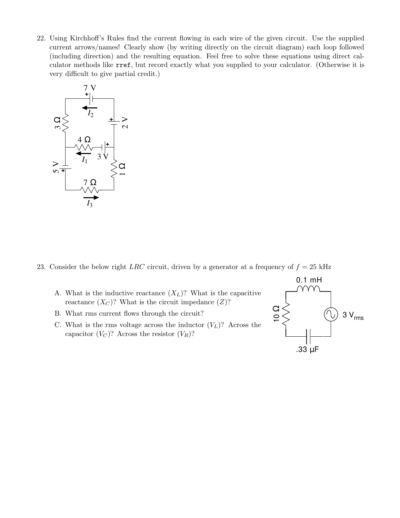22. Using Kirchhoff's Rules find the current flowing in each wire of the given circuit. Use the supplied current arrows/names! Clearly show (by writing directly on the circuit diagram) each loop followed (including direction) and the resulting equation. Feel free to solve these equations using direct calculator methods like rref, but record exactly what you supplied to your calculator. (Otherwise it is very difficult to give partial credit.)



23. Consider the below right LRC circuit, driven by a generator at a frequency of  $f = 25$  kHz

- A. What is the inductive reactance  $(X_L)$ ? What is the capacitive reactance  $(X_C)$ ? What is the circuit impedance  $(Z)$ ?
- B. What rms current flows through the circuit?
- C. What is the rms voltage across the inductor  $(V_L)$ ? Across the capacitor  $(V_C)$ ? Across the resistor  $(V_R)$ ?